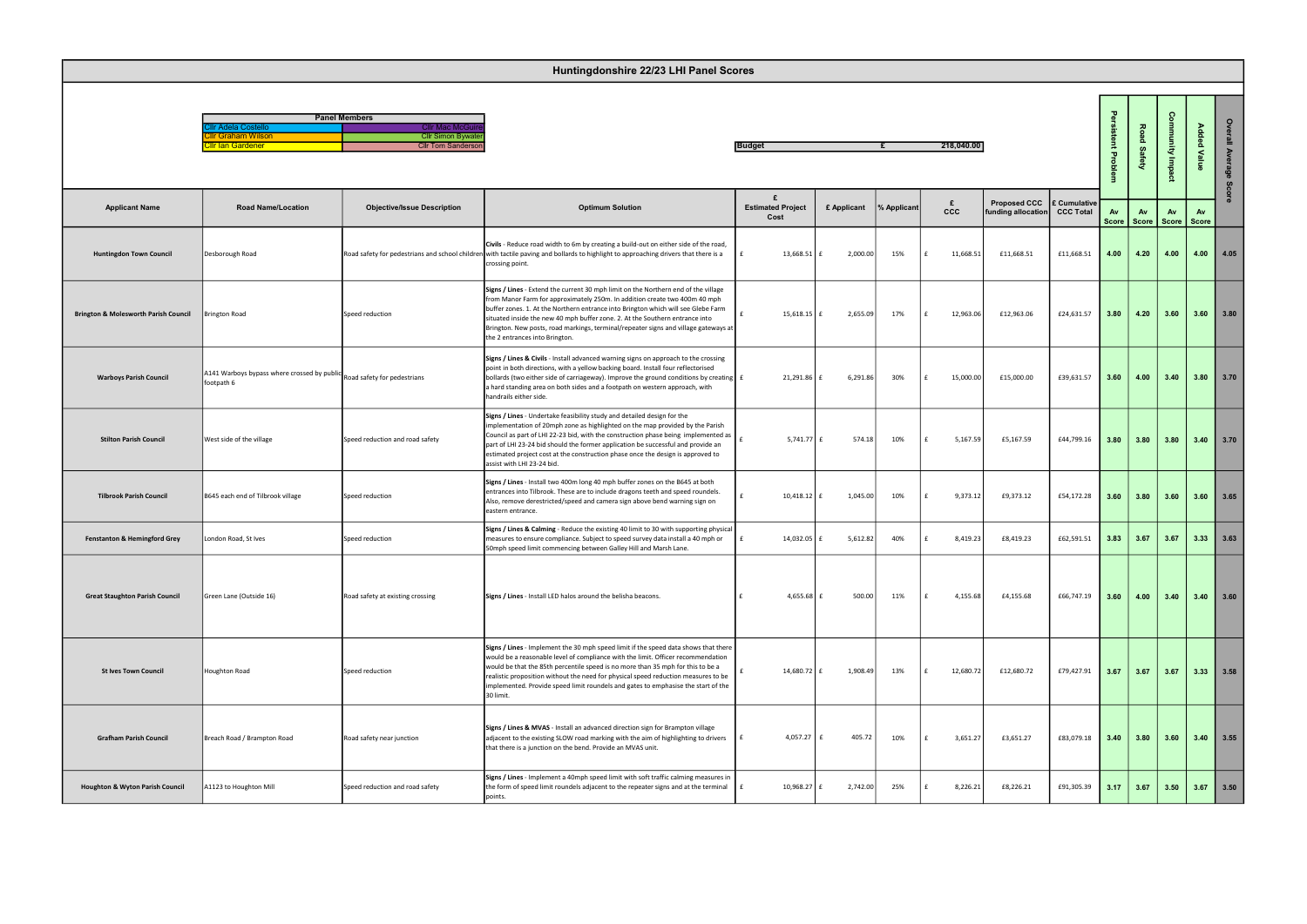|                     | <b>Panel Members</b>      |
|---------------------|---------------------------|
| Cllr Adela Costello | <b>Cllr Mac McGuire</b>   |
| Cllr Graham Wilson  | <b>Cllr Simon Bywater</b> |
| Cllr Ian Gardener   | <b>Cllr Tom Sanderson</b> |
|                     |                           |

|                                                 | Huntingdonshire 22/23 LHI Panel Scores                         |                                                                                                      |                                                                                                                                                                                                                                                                                                                                                                                                                                                                |                                       |             |             |                 |                                                 |                  |                    |                                |                     |                      |              |
|-------------------------------------------------|----------------------------------------------------------------|------------------------------------------------------------------------------------------------------|----------------------------------------------------------------------------------------------------------------------------------------------------------------------------------------------------------------------------------------------------------------------------------------------------------------------------------------------------------------------------------------------------------------------------------------------------------------|---------------------------------------|-------------|-------------|-----------------|-------------------------------------------------|------------------|--------------------|--------------------------------|---------------------|----------------------|--------------|
|                                                 | llr Adela Costello:<br>Ilr Graham Wilson<br>illr Ian Gardener: | <b>Panel Members</b><br><b>Cllr Mac McGo</b><br><b>Cllr Simon Bywate</b><br><b>Cllr Tom Sanderso</b> |                                                                                                                                                                                                                                                                                                                                                                                                                                                                | <b>Budget</b>                         |             |             | 218,040.00      |                                                 |                  | 를<br>Prot          | 꽁<br><b>B</b><br><b>Safety</b> | ွ<br>mity Impa      | Added<br>Value       | $\circ$<br>≞ |
| <b>Applicant Name</b>                           | <b>Road Name/Location</b>                                      | <b>Objective/Issue Description</b>                                                                   | <b>Optimum Solution</b>                                                                                                                                                                                                                                                                                                                                                                                                                                        | £<br><b>Estimated Project</b><br>Cost | £ Applicant | % Applicant | £<br><b>CCC</b> | Proposed CCC E Cumulative<br>funding allocation | <b>CCC Total</b> | Av<br><b>Score</b> | Av                             | Av<br>Score   Score | Av<br>Score          |              |
| <b>Huntingdon Town Council</b>                  | Desborough Road                                                |                                                                                                      | Civils - Reduce road width to 6m by creating a build-out on either side of the road,<br>Road safety for pedestrians and school children with tactile paving and bollards to highlight to approaching drivers that there is a<br>crossing point.                                                                                                                                                                                                                | $13,668.51 \mid f$                    | 2,000.00    | 15%         | 11,668.51       | £11,668.51                                      | £11,668.51       | 4.00               | 4.20                           | 4.00                |                      | $4.00$ 4.05  |
| <b>Brington &amp; Molesworth Parish Council</b> | Brington Road                                                  | Speed reduction                                                                                      | Signs / Lines - Extend the current 30 mph limit on the Northern end of the village<br>from Manor Farm for approximately 250m. In addition create two 400m 40 mph<br>buffer zones. 1. At the Northern entrance into Brington which will see Glebe Farm<br>situated inside the new 40 mph buffer zone. 2. At the Southern entrance into<br>Brington. New posts, road markings, terminal/repeater signs and village gateways at<br>the 2 entrances into Brington. | $15,618.15$ f                         | 2,655.09    | 17%         | 12,963.06       | £12,963.06                                      | £24,631.57       | 3.80               | 4.20                           | 3.60                |                      | $3.60$ 3.80  |
| <b>Warboys Parish Council</b>                   | A141 Warboys bypass where crossed by publi<br>footpath 6       | Road safety for pedestrians                                                                          | Signs / Lines & Civils - Install advanced warning signs on approach to the crossing<br>point in both directions, with a yellow backing board. Install four reflectorised<br>bollards (two either side of carriageway). Improve the ground conditions by creating £<br>a hard standing area on both sides and a footpath on western approach, with<br>handrails either side.                                                                                    | 21,291.86                             | 6,291.86    | 30%         | 15,000.00       | £15,000.00                                      | £39,631.57       | 3.60               | 4.00                           | 3.40                |                      | $3.80$ 3.70  |
| <b>Stilton Parish Council</b>                   | West side of the village                                       | Speed reduction and road safety                                                                      | Signs / Lines - Undertake feasibility study and detailed design for the<br>implementation of 20mph zone as highlighted on the map provided by the Parish<br>Council as part of LHI 22-23 bid, with the construction phase being implemented as<br>part of LHI 23-24 bid should the former application be successful and provide an<br>estimated project cost at the construction phase once the design is approved to<br>assist with LHI 23-24 bid.            | 5,741.77 $\pm$                        | 574.18      | 10%         | 5,167.59        | £5,167.59                                       | £44,799.16       | 3.80               | 3.80                           | 3.80                |                      | $3.40$ 3.70  |
| <b>Tilbrook Parish Council</b>                  | B645 each end of Tilbrook village                              | Speed reduction                                                                                      | Signs / Lines - Install two 400m long 40 mph buffer zones on the B645 at both<br>entrances into Tilbrook. These are to include dragons teeth and speed roundels.<br>Also, remove derestricted/speed and camera sign above bend warning sign on<br>eastern entrance.                                                                                                                                                                                            | 10,418.12                             | 1,045.00    | 10%         | 9,373.12        | £9,373.12                                       | £54,172.28       | 3.60               | 3.80                           | 3.60                |                      | $3.60$ 3.65  |
| <b>Fenstanton &amp; Hemingford Grey</b>         | London Road, St Ives                                           | Speed reduction                                                                                      | Signs / Lines & Calming - Reduce the existing 40 limit to 30 with supporting physical<br>measures to ensure compliance. Subject to speed survey data install a 40 mph or<br>50mph speed limit commencing between Galley Hill and Marsh Lane.                                                                                                                                                                                                                   | 14,032.05 £                           | 5,612.82    | 40%         | 8,419.23        | £8,419.23                                       | £62,591.51       | 3.83               | 3.67                           | 3.67                | 3.33                 | 3.63         |
| <b>Great Staughton Parish Council</b>           | Green Lane (Outside 16)                                        | Road safety at existing crossing                                                                     | Signs / Lines - Install LED halos around the belisha beacons.                                                                                                                                                                                                                                                                                                                                                                                                  | 4,655.68 $f$                          | 500.00      | 11%         | 4,155.68        | £4,155.68                                       | £66,747.19       | 3.60               | 4.00                           | 3.40                |                      | $3.40$ 3.60  |
| <b>St Ives Town Council</b>                     | Houghton Road                                                  | Speed reduction                                                                                      | Signs / Lines - Implement the 30 mph speed limit if the speed data shows that there<br>would be a reasonable level of compliance with the limit. Officer recommendation<br>would be that the 85th percentile speed is no more than 35 mph for this to be a<br>realistic proposition without the need for physical speed reduction measures to be<br>implemented. Provide speed limit roundels and gates to emphasise the start of the<br>30 limit.             | 14,680.72 £                           | 1,908.49    | 13%         | 12,680.72       | £12,680.72                                      | £79,427.91       | $3.67$ 3.67        |                                |                     | $3.67$   3.33   3.58 |              |
| <b>Grafham Parish Council</b>                   | Breach Road / Brampton Road                                    | Road safety near junction                                                                            | Signs / Lines & MVAS - Install an advanced direction sign for Brampton village<br>adjacent to the existing SLOW road marking with the aim of highlighting to drivers<br>that there is a junction on the bend. Provide an MVAS unit.                                                                                                                                                                                                                            | $4,057.27$ £                          | 405.72      | 10%         | 3,651.27        | £3,651.27                                       | £83,079.18       |                    | $3.40$ 3.80                    |                     | $3.60$   3.40   3.55 |              |
| <b>Houghton &amp; Wyton Parish Council</b>      | A1123 to Houghton Mill                                         | Speed reduction and road safety                                                                      | Signs / Lines - Implement a 40mph speed limit with soft traffic calming measures in<br>the form of speed limit roundels adjacent to the repeater signs and at the terminal $\mathbf{f}$<br>points.                                                                                                                                                                                                                                                             | $10,968.27$ £                         | 2,742.00    | 25%         | 8,226.21        | £8,226.21                                       | £91,305.39       | 3.17               | 3.67                           | 3.50                |                      | $3.67$ 3.50  |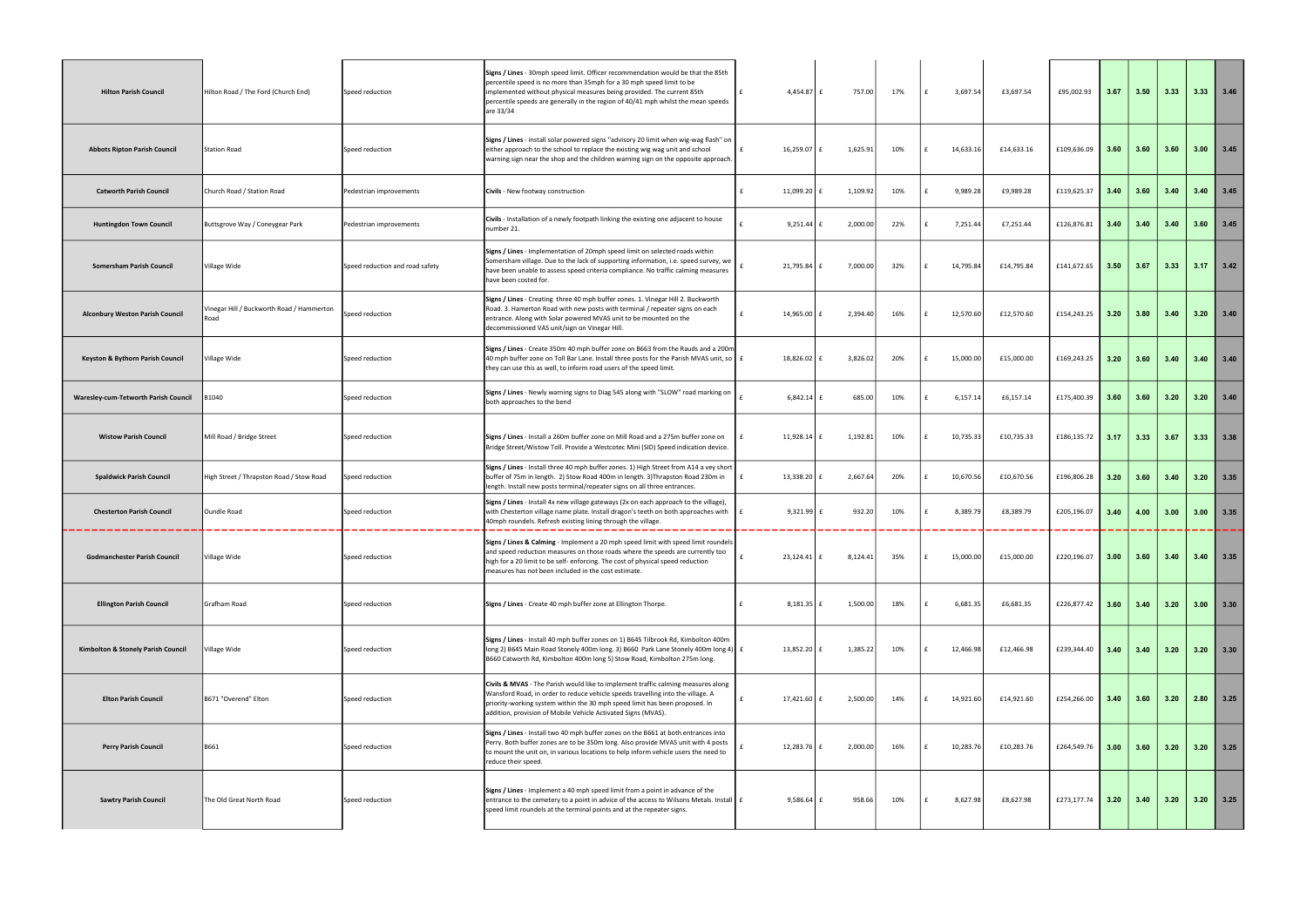| <b>Hilton Parish Council</b>                | Hilton Road / The Ford (Church End)               | Speed reduction                 | Signs / Lines - 30mph speed limit. Officer recommendation would be that the 85th<br>percentile speed is no more than 35mph for a 30 mph speed limit to be<br>implemented without physical measures being provided. The current 85th<br>percentile speeds are generally in the region of 40/41 mph whilst the mean speeds<br>are 33/34 | 4,454.87 £           | 757.00   | 17% | £            | 3,697.54  | £3,697.54  | £95,002.93  | 3.67 | 3.50 | 3.33 |      | $3.33$   $3.46$ |
|---------------------------------------------|---------------------------------------------------|---------------------------------|---------------------------------------------------------------------------------------------------------------------------------------------------------------------------------------------------------------------------------------------------------------------------------------------------------------------------------------|----------------------|----------|-----|--------------|-----------|------------|-------------|------|------|------|------|-----------------|
| <b>Abbots Ripton Parish Council</b>         | <b>Station Road</b>                               | Speed reduction                 | Signs / Lines - install solar powered signs "advisory 20 limit when wig-wag flash" on<br>either approach to the school to replace the existing wig wag unit and school<br>warning sign near the shop and the children warning sign on the opposite approach.                                                                          | 16,259.07 £<br>£     | 1,625.91 | 10% |              | 14,633.16 | £14,633.16 | £109,636.09 | 3.60 | 3.60 | 3.60 | 3.00 | 13.45           |
| <b>Catworth Parish Council</b>              | Church Road / Station Road                        | Pedestrian improvements         | Civils - New footway construction                                                                                                                                                                                                                                                                                                     | 11,099.20            | 1,109.92 | 10% |              | 9,989.28  | £9,989.28  | £119,625.37 | 3.40 | 3.60 | 3.40 | 3.40 | 3.45            |
| <b>Huntingdon Town Council</b>              | Buttsgrove Way / Coneygear Park                   | Pedestrian improvements         | Civils - Installation of a newly footpath linking the existing one adjacent to house<br>number 21.                                                                                                                                                                                                                                    | $9,251.44$ £         | 2,000.00 | 22% |              | 7,251.44  | £7,251.44  | £126,876.81 | 3.40 | 3.40 | 3.40 | 3.60 | 3.45            |
| Somersham Parish Council                    | Village Wide                                      | Speed reduction and road safety | Signs / Lines - Implementation of 20mph speed limit on selected roads within<br>Somersham village. Due to the lack of supporting information, i.e. speed survey, we<br>have been unable to assess speed criteria compliance. No traffic calming measures<br>have been costed for.                                                     | $21,795.84 \mid f$   | 7,000.00 | 32% | f            | 14,795.84 | £14,795.84 | £141,672.65 | 3.50 | 3.67 | 3.33 | 3.17 | 3.42            |
| Alconbury Weston Parish Council             | Vinegar Hill / Buckworth Road / Hammerton<br>Road | Speed reduction                 | Signs / Lines - Creating three 40 mph buffer zones. 1. Vinegar Hill 2. Buckworth<br>Road. 3. Hamerton Road with new posts with terminal / repeater signs on each<br>entrance. Along with Solar powered MVAS unit to be mounted on the<br>decommissioned VAS unit/sign on Vinegar Hill.                                                | 14,965.00 £          | 2,394.40 | 16% |              | 12,570.60 | £12,570.60 | £154,243.25 | 3.20 | 3.80 | 3.40 | 3.20 | 3.40            |
| Keyston & Bythorn Parish Council            | Village Wide                                      | Speed reduction                 | Signs / Lines - Create 350m 40 mph buffer zone on B663 from the Rauds and a 200m<br>40 mph buffer zone on Toll Bar Lane. Install three posts for the Parish MVAS unit, so $\mathbf{f}$ £<br>they can use this as well, to inform road users of the speed limit.                                                                       | 18,826.02 £          | 3,826.02 | 20% | £            | 15,000.00 | £15,000.00 | £169,243.25 | 3.20 | 3.60 | 3.40 | 3.40 | 3.40            |
| <b>Waresley-cum-Tetworth Parish Council</b> | 1040ء                                             | Speed reduction                 | Signs / Lines - Newly warning signs to Diag 545 along with "SLOW" road marking on<br>both approaches to the bend                                                                                                                                                                                                                      | $6,842.14$ f         | 685.00   | 10% | £            | 6,157.14  | £6,157.14  | £175,400.39 | 3.60 | 3.60 | 3.20 | 3.20 | 13.40           |
| <b>Wistow Parish Council</b>                | Mill Road / Bridge Street                         | Speed reduction                 | Signs / Lines - Install a 260m buffer zone on Mill Road and a 275m buffer zone on<br>Bridge Street/Wistow Toll. Provide a Westcotec Mini (SID) Speed indication device.                                                                                                                                                               | 11,928.14 $f$        | 1,192.81 | 10% |              | 10,735.33 | £10,735.33 | £186,135.72 | 3.17 | 3.33 | 3.67 | 3.33 | 13.38           |
| <b>Spaldwick Parish Council</b>             | High Street / Thrapston Road / Stow Road          | Speed reduction                 | Signs / Lines - Install three 40 mph buffer zones. 1) High Street from A14 a vey short<br>buffer of 75m in length. 2) Stow Road 400m in length. 3)Thrapston Road 230m in<br>length. Install new posts terminal/repeater signs on all three entrances.                                                                                 | 13,338.20 $ f $      | 2,667.64 | 20% |              | 10,670.56 | £10,670.56 | £196,806.28 | 3.20 | 3.60 | 3.40 | 3.20 | 3.35            |
| <b>Chesterton Parish Council</b>            | <b>Oundle Road</b>                                | Speed reduction                 | Signs / Lines - Install 4x new village gateways (2x on each approach to the village),<br>with Chesterton village name plate. Install dragon's teeth on both approaches with<br>40mph roundels. Refresh existing lining through the village.                                                                                           | $9,321.99$ £         | 932.20   | 10% |              | 8,389.79  | £8,389.79  | £205,196.07 | 3.40 | 4.00 | 3.00 | 3.00 | 3.35            |
| <b>Godmanchester Parish Council</b>         | Village Wide                                      | Speed reduction                 | Signs / Lines & Calming - Implement a 20 mph speed limit with speed limit roundels<br>and speed reduction measures on those roads where the speeds are currently too<br>high for a 20 limit to be self- enforcing. The cost of physical speed reduction<br>measures has not been included in the cost estimate.                       | $23,124.41$ $E$<br>£ | 8,124.41 | 35% |              | 15,000.00 | £15,000.00 | £220,196.07 | 3.00 | 3.60 | 3.40 | 3.40 | 3.35            |
| <b>Ellington Parish Council</b>             | Grafham Road                                      | Speed reduction                 | Signs / Lines - Create 40 mph buffer zone at Ellington Thorpe.                                                                                                                                                                                                                                                                        | $8,181.35 \mid f$    | 1,500.00 | 18% |              | 6,681.35  | £6,681.35  | £226,877.42 | 3.60 | 3.40 | 3.20 |      | $3.00$ 3.30     |
| Kimbolton & Stonely Parish Council          | Village Wide                                      | Speed reduction                 | Signs / Lines - Install 40 mph buffer zones on 1) B645 Tilbrook Rd, Kimbolton 400m<br>long 2) B645 Main Road Stonely 400m long. 3) B660 Park Lane Stonely 400m long 4) £<br>B660 Catworth Rd, Kimbolton 400m long 5) Stow Road, Kimbolton 275m long.                                                                                  | $13,852.20$ £        | 1,385.22 | 10% |              | 12,466.98 | £12,466.98 | £239,344.40 | 3.40 | 3.40 | 3.20 | 3.20 | 3.30            |
| <b>Elton Parish Council</b>                 | B671 "Overend" Elton                              | Speed reduction                 | Civils & MVAS - The Parish would like to implement traffic calming measures along<br>Wansford Road, in order to reduce vehicle speeds travelling into the village. A<br>priority-working system within the 30 mph speed limit has been proposed. In<br>addition, provision of Mobile Vehicle Activated Signs (MVAS).                  | 17,421.60 £          | 2,500.00 | 14% |              | 14,921.60 | £14,921.60 | £254,266.00 | 3.40 | 3.60 | 3.20 | 2.80 | 3.25            |
| <b>Perry Parish Council</b>                 | B661                                              | Speed reduction                 | Signs / Lines - Install two 40 mph buffer zones on the B661 at both entrances into<br>Perry. Both buffer zones are to be 350m long. Also provide MVAS unit with 4 posts<br>to mount the unit on, in various locations to help inform vehicle users the need to<br>reduce their speed.                                                 | 12,283.76 $E$        | 2,000.00 | 16% | $\mathbf{f}$ | 10,283.76 | £10,283.76 | £264,549.76 | 3.00 | 3.60 | 3.20 | 3.20 | 3.25            |
| <b>Sawtry Parish Council</b>                | The Old Great North Road                          | Speed reduction                 | Signs / Lines - Implement a 40 mph speed limit from a point in advance of the<br>entrance to the cemetery to a point in advice of the access to Wilsons Metals. Install E<br>speed limit roundels at the terminal points and at the repeater signs.                                                                                   | $9,586.64 \mid f$    | 958.66   | 10% | £            | 8,627.98  | £8,627.98  | £273,177.74 | 3.20 | 3.40 | 3.20 |      | $3.20$ 3.25     |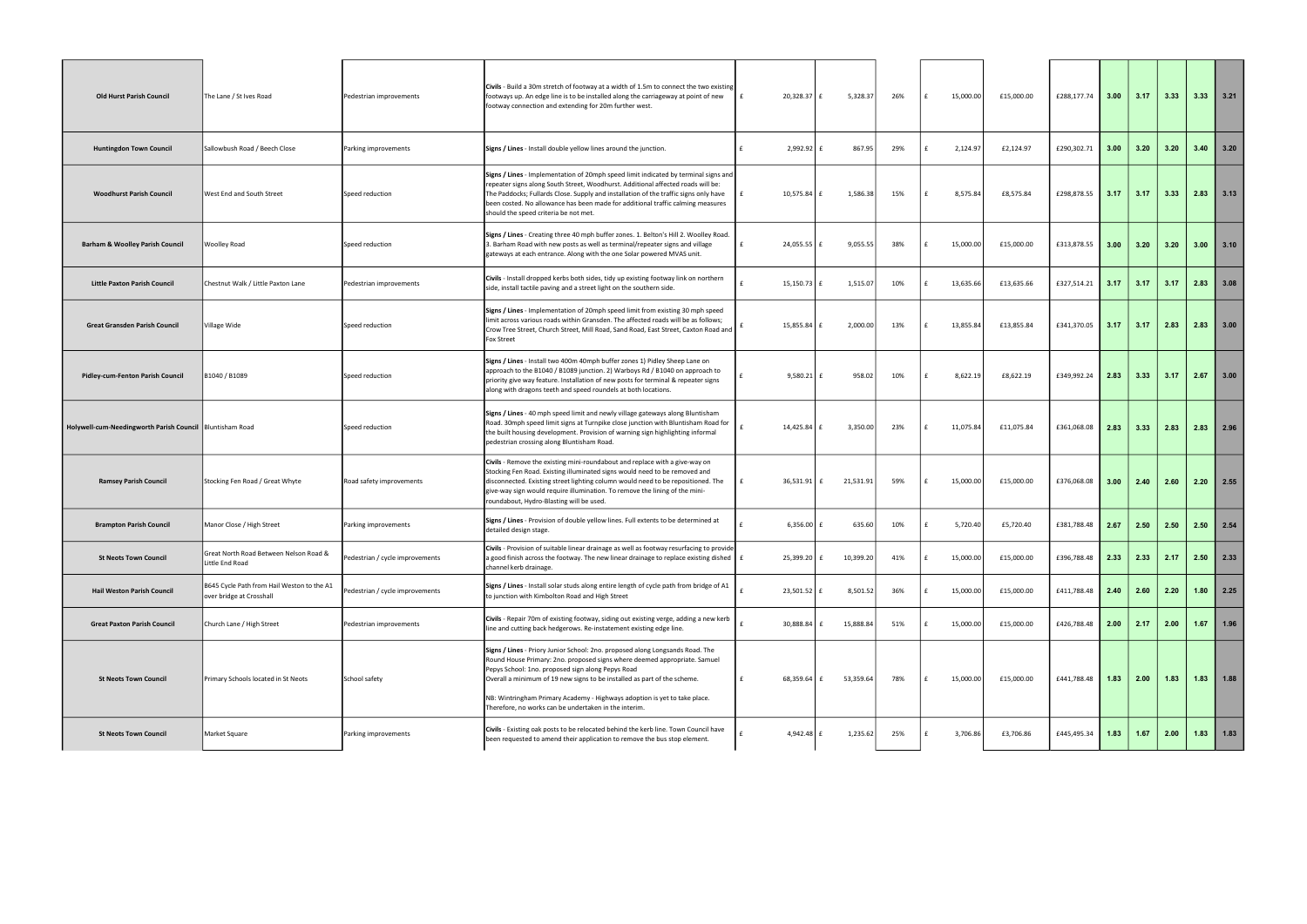| <b>Old Hurst Parish Council</b>                            | The Lane / St Ives Road                                                | Pedestrian improvements         | Civils - Build a 30m stretch of footway at a width of 1.5m to connect the two existing<br>footways up. An edge line is to be installed along the carriageway at point of new<br>footway connection and extending for 20m further west.                                                                                                                                                                                            | 20,328.37 £                   | 5,328.37       | 26% | $\mathbf{f}$ | 15,000.00<br>£15,000.00 | £288,177.74 | $\vert$ 3.00 | 3.17 | 3.33 | $3.33$ 3.21   |                                                   |
|------------------------------------------------------------|------------------------------------------------------------------------|---------------------------------|-----------------------------------------------------------------------------------------------------------------------------------------------------------------------------------------------------------------------------------------------------------------------------------------------------------------------------------------------------------------------------------------------------------------------------------|-------------------------------|----------------|-----|--------------|-------------------------|-------------|--------------|------|------|---------------|---------------------------------------------------|
| <b>Huntingdon Town Council</b>                             | Sallowbush Road / Beech Close                                          | Parking improvements            | Signs / Lines - Install double yellow lines around the junction.                                                                                                                                                                                                                                                                                                                                                                  | $2,992.92$ £<br>l £           | 867.95         | 29% | $\mathbf{f}$ | 2,124.97<br>£2,124.97   | £290,302.71 | 3.00         | 3.20 | 3.20 | 3.40          | 3.20                                              |
| <b>Woodhurst Parish Council</b>                            | West End and South Street                                              | Speed reduction                 | Signs / Lines - Implementation of 20mph speed limit indicated by terminal signs and<br>repeater signs along South Street, Woodhurst. Additional affected roads will be:<br>The Paddocks; Fullards Close. Supply and installation of the traffic signs only have<br>been costed. No allowance has been made for additional traffic calming measures<br>should the speed criteria be not met.                                       | 10,575.84                     | 1,586.38       | 15% | £            | £8,575.84<br>8,575.84   | £298,878.55 | 3.17         | 3.17 | 3.33 | 2.83          | 13.13                                             |
| <b>Barham &amp; Woolley Parish Council</b>                 | Woolley Road                                                           | Speed reduction                 | Signs / Lines - Creating three 40 mph buffer zones. 1. Belton's Hill 2. Woolley Road.<br>3. Barham Road with new posts as well as terminal/repeater signs and village<br>gateways at each entrance. Along with the one Solar powered MVAS unit.                                                                                                                                                                                   | 24,055.55                     | 9,055.55       | 38% |              | £15,000.00<br>15,000.00 | £313,878.55 | 3.00         | 3.20 | 3.20 | 3.00          | 13.10                                             |
| <b>Little Paxton Parish Council</b>                        | Chestnut Walk / Little Paxton Lane                                     | Pedestrian improvements         | Civils - Install dropped kerbs both sides, tidy up existing footway link on northern<br>side, install tactile paving and a street light on the southern side.                                                                                                                                                                                                                                                                     | 15,150.73 £                   | 1,515.07       | 10% |              | 13,635.66<br>£13,635.66 | £327,514.21 | 3.17         | 3.17 | 3.17 | 2.83          | 3.08                                              |
| <b>Great Gransden Parish Council</b>                       | Village Wide                                                           | Speed reduction                 | Signs / Lines - Implementation of 20mph speed limit from existing 30 mph speed<br>limit across various roads within Gransden. The affected roads will be as follows;<br>Crow Tree Street, Church Street, Mill Road, Sand Road, East Street, Caxton Road and<br>Fox Street                                                                                                                                                         | 15,855.84                     | 2,000.00       | 13% |              | £13,855.84<br>13,855.84 | £341,370.05 | 3.17         | 3.17 | 2.83 | 2.83          | 13.00                                             |
| <b>Pidley-cum-Fenton Parish Council</b>                    | B1040 / B1089                                                          | Speed reduction                 | Signs / Lines - Install two 400m 40mph buffer zones 1) Pidley Sheep Lane on<br>approach to the B1040 / B1089 junction. 2) Warboys Rd / B1040 on approach to<br>priority give way feature. Installation of new posts for terminal & repeater signs<br>along with dragons teeth and speed roundels at both locations.                                                                                                               | 9,580.21                      | 958.02         | 10% |              | 8,622.19<br>£8,622.19   | £349,992.24 | 2.83         | 3.33 | 3.17 | 2.67          | 3.00                                              |
| Holywell-cum-Needingworth Parish Council   Bluntisham Road |                                                                        | Speed reduction                 | Signs / Lines - 40 mph speed limit and newly village gateways along Bluntisham<br>Road. 30mph speed limit signs at Turnpike close junction with Bluntisham Road for<br>the built housing development. Provision of warning sign highlighting informal<br>pedestrian crossing along Bluntisham Road.                                                                                                                               | 14,425.84                     | 3,350.00       | 23% |              | £11,075.84<br>11,075.84 | £361,068.08 | 2.83         | 3.33 | 2.83 | 2.83          | 12.96                                             |
| <b>Ramsey Parish Council</b>                               | Stocking Fen Road / Great Whyte                                        | Road safety improvements        | Civils - Remove the existing mini-roundabout and replace with a give-way on<br>Stocking Fen Road. Existing illuminated signs would need to be removed and<br>disconnected. Existing street lighting column would need to be repositioned. The<br>give-way sign would require illumination. To remove the lining of the mini-<br>roundabout, Hydro-Blasting will be used.                                                          | 36,531.91                     | 21,531.91<br>f | 59% | £            | 15,000.00<br>£15,000.00 | £376,068.08 | 3.00         | 2.40 | 2.60 | 2.20          | $\begin{array}{ c c }\n\hline\n2.55\n\end{array}$ |
| <b>Brampton Parish Council</b>                             | Manor Close / High Street                                              | Parking improvements            | Signs / Lines - Provision of double yellow lines. Full extents to be determined at<br>detailed design stage.                                                                                                                                                                                                                                                                                                                      | $6,356.00$ £                  | 635.60         | 10% |              | £5,720.40<br>5,720.40   | £381,788.48 | 2.67         | 2.50 | 2.50 | 2.50          | $\begin{array}{ c c }\n\hline\n2.54\n\end{array}$ |
| <b>St Neots Town Council</b>                               | Great North Road Between Nelson Road &<br>Little End Road              | Pedestrian / cycle improvements | Civils - Provision of suitable linear drainage as well as footway resurfacing to provide<br>a good finish across the footway. The new linear drainage to replace existing dished $\mid$ £<br>channel kerb drainage.                                                                                                                                                                                                               | 25,399.20 £                   | 10,399.20      | 41% | Ι£           | £15,000.00<br>15,000.00 | £396,788.48 | 2.33         | 2.33 | 2.17 | 2.50          | $\begin{array}{ c c }\n\hline\n2.33\n\end{array}$ |
| <b>Hail Weston Parish Council</b>                          | B645 Cycle Path from Hail Weston to the A1<br>over bridge at Crosshall | Pedestrian / cycle improvements | Signs / Lines - Install solar studs along entire length of cycle path from bridge of A1<br>to junction with Kimbolton Road and High Street                                                                                                                                                                                                                                                                                        | $\mathbf{f}$<br>$23,501.52$ £ | 8,501.52       | 36% | £            | £15,000.00<br>15,000.00 | £411,788.48 | 2.40         | 2.60 | 2.20 | 1.80          |                                                   |
| <b>Great Paxton Parish Council</b>                         | Church Lane / High Street                                              | Pedestrian improvements         | Civils - Repair 70m of existing footway, siding out existing verge, adding a new kerb<br>line and cutting back hedgerows. Re-instatement existing edge line.                                                                                                                                                                                                                                                                      | 30,888.84                     | 15,888.84      | 51% |              | 15,000.00<br>£15,000.00 | £426,788.48 | 2.00         | 2.17 | 2.00 | 1.67          | 1.96                                              |
| <b>St Neots Town Council</b>                               | Primary Schools located in St Neots                                    | School safety                   | Signs / Lines - Priory Junior School: 2no. proposed along Longsands Road. The<br>Round House Primary: 2no. proposed signs where deemed appropriate. Samuel<br>Pepys School: 1no. proposed sign along Pepys Road<br>Overall a minimum of 19 new signs to be installed as part of the scheme.<br>NB: Wintringham Primary Academy - Highways adoption is yet to take place.<br>Therefore, no works can be undertaken in the interim. | 68,359.64 £                   | 53,359.64      | 78% |              | £15,000.00<br>15,000.00 | £441,788.48 | 1.83         | 2.00 | 1.83 | $1.83$   1.88 |                                                   |
| <b>St Neots Town Council</b>                               | Market Square                                                          | Parking improvements            | Civils - Existing oak posts to be relocated behind the kerb line. Town Council have<br>been requested to amend their application to remove the bus stop element.                                                                                                                                                                                                                                                                  | 4,942.48 £                    | 1,235.62       | 25% | Ι£           | 3,706.86<br>£3,706.86   | £445,495.34 | 1.83         | 1.67 | 2.00 |               | $1.83$   1.83                                     |